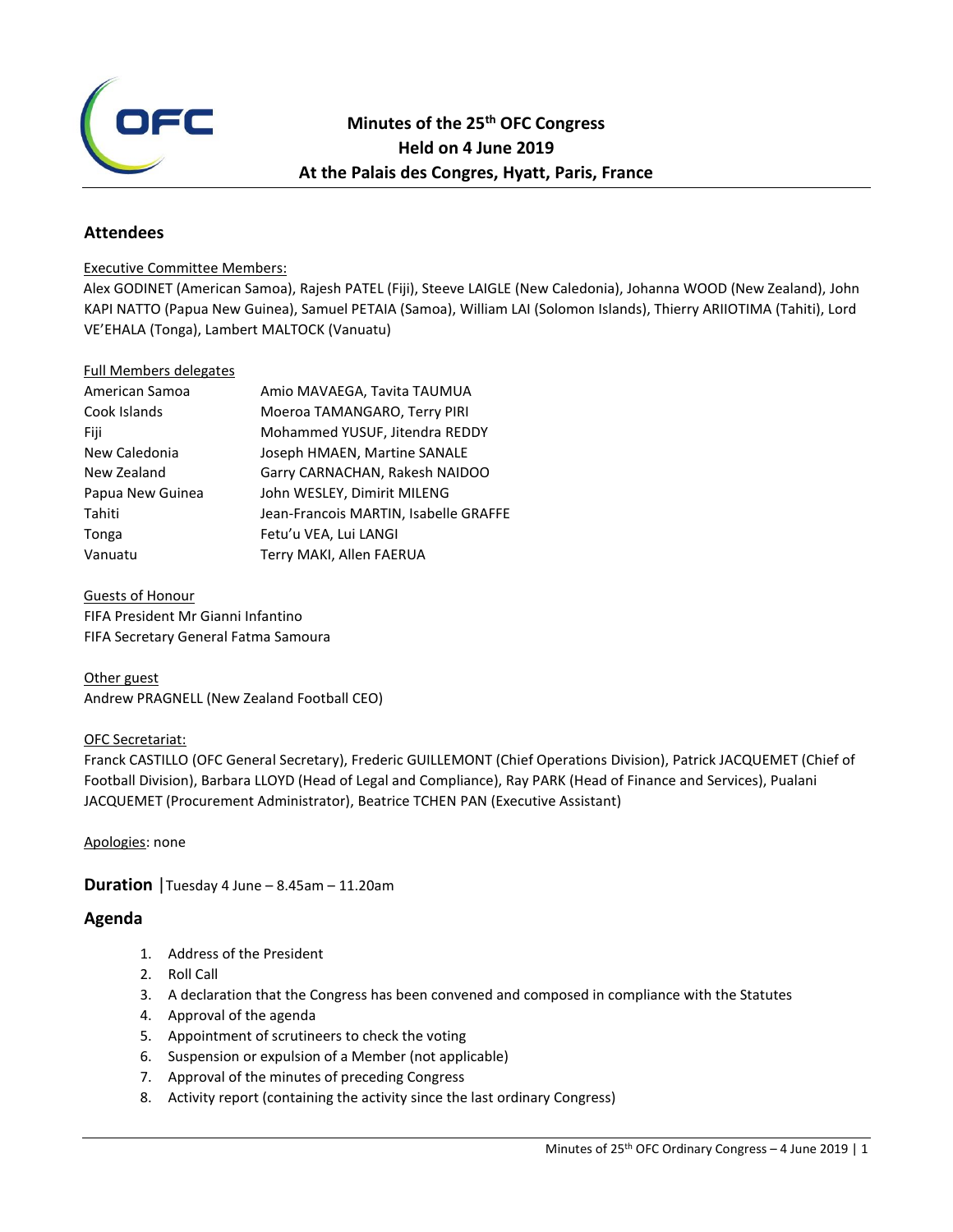

## **Minutes of the 25th OFC Congress Held on 4 June 2019 At the Palais des Congres, Hyatt, Paris, France**

## **Attendees**

#### Executive Committee Members:

Alex GODINET (American Samoa), Rajesh PATEL (Fiji), Steeve LAIGLE (New Caledonia), Johanna WOOD (New Zealand), John KAPI NATTO (Papua New Guinea), Samuel PETAIA (Samoa), William LAI (Solomon Islands), Thierry ARIIOTIMA (Tahiti), Lord VE'EHALA (Tonga), Lambert MALTOCK (Vanuatu)

#### Full Members delegates

| American Samoa   | Amio MAVAEGA, Tavita TAUMUA           |
|------------------|---------------------------------------|
| Cook Islands     | Moeroa TAMANGARO, Terry PIRI          |
| Fiji             | Mohammed YUSUF, Jitendra REDDY        |
| New Caledonia    | Joseph HMAEN, Martine SANALE          |
| New Zealand      | Garry CARNACHAN, Rakesh NAIDOO        |
| Papua New Guinea | John WESLEY, Dimirit MILENG           |
| Tahiti           | Jean-Francois MARTIN, Isabelle GRAFFE |
| Tonga            | Fetu'u VEA, Lui LANGI                 |
| Vanuatu          | Terry MAKI, Allen FAERUA              |

Guests of Honour FIFA President Mr Gianni Infantino FIFA Secretary General Fatma Samoura

Other guest Andrew PRAGNELL (New Zealand Football CEO)

## OFC Secretariat:

Franck CASTILLO (OFC General Secretary), Frederic GUILLEMONT (Chief Operations Division), Patrick JACQUEMET (Chief of Football Division), Barbara LLOYD (Head of Legal and Compliance), Ray PARK (Head of Finance and Services), Pualani JACQUEMET (Procurement Administrator), Beatrice TCHEN PAN (Executive Assistant)

Apologies: none

**Duration** |Tuesday 4 June – 8.45am – 11.20am

## **Agenda**

- 1. Address of the President
- 2. Roll Call
- 3. A declaration that the Congress has been convened and composed in compliance with the Statutes
- 4. Approval of the agenda
- 5. Appointment of scrutineers to check the voting
- 6. Suspension or expulsion of a Member (not applicable)
- 7. Approval of the minutes of preceding Congress
- 8. Activity report (containing the activity since the last ordinary Congress)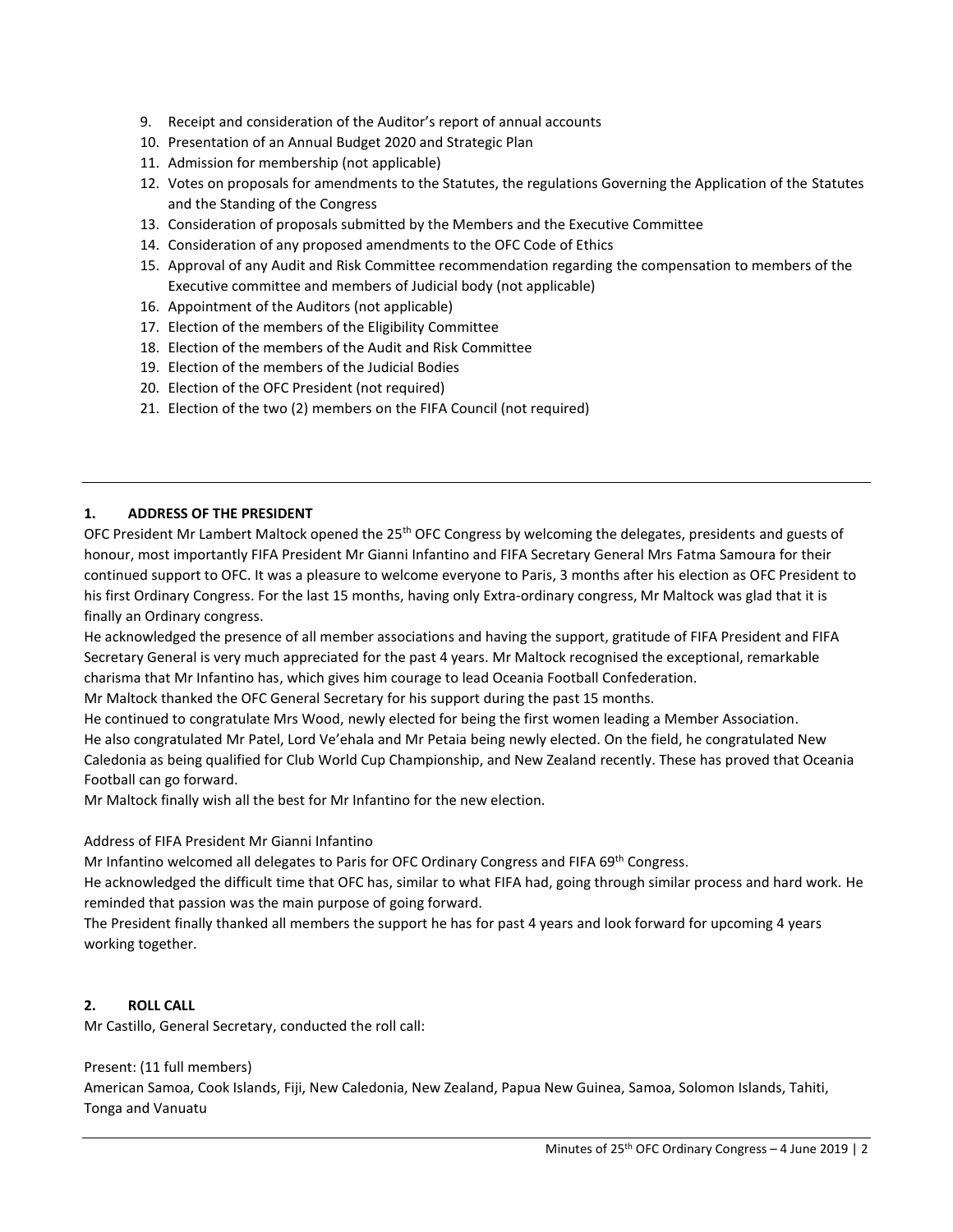- 9. Receipt and consideration of the Auditor's report of annual accounts
- 10. Presentation of an Annual Budget 2020 and Strategic Plan
- 11. Admission for membership (not applicable)
- 12. Votes on proposals for amendments to the Statutes, the regulations Governing the Application of the Statutes and the Standing of the Congress
- 13. Consideration of proposals submitted by the Members and the Executive Committee
- 14. Consideration of any proposed amendments to the OFC Code of Ethics
- 15. Approval of any Audit and Risk Committee recommendation regarding the compensation to members of the Executive committee and members of Judicial body (not applicable)
- 16. Appointment of the Auditors (not applicable)
- 17. Election of the members of the Eligibility Committee
- 18. Election of the members of the Audit and Risk Committee
- 19. Election of the members of the Judicial Bodies
- 20. Election of the OFC President (not required)
- 21. Election of the two (2) members on the FIFA Council (not required)

## **1. ADDRESS OF THE PRESIDENT**

OFC President Mr Lambert Maltock opened the 25<sup>th</sup> OFC Congress by welcoming the delegates, presidents and guests of honour, most importantly FIFA President Mr Gianni Infantino and FIFA Secretary General Mrs Fatma Samoura for their continued support to OFC. It was a pleasure to welcome everyone to Paris, 3 months after his election as OFC President to his first Ordinary Congress. For the last 15 months, having only Extra-ordinary congress, Mr Maltock was glad that it is finally an Ordinary congress.

He acknowledged the presence of all member associations and having the support, gratitude of FIFA President and FIFA Secretary General is very much appreciated for the past 4 years. Mr Maltock recognised the exceptional, remarkable charisma that Mr Infantino has, which gives him courage to lead Oceania Football Confederation.

Mr Maltock thanked the OFC General Secretary for his support during the past 15 months.

He continued to congratulate Mrs Wood, newly elected for being the first women leading a Member Association. He also congratulated Mr Patel, Lord Ve'ehala and Mr Petaia being newly elected. On the field, he congratulated New Caledonia as being qualified for Club World Cup Championship, and New Zealand recently. These has proved that Oceania Football can go forward.

Mr Maltock finally wish all the best for Mr Infantino for the new election.

#### Address of FIFA President Mr Gianni Infantino

Mr Infantino welcomed all delegates to Paris for OFC Ordinary Congress and FIFA 69<sup>th</sup> Congress.

He acknowledged the difficult time that OFC has, similar to what FIFA had, going through similar process and hard work. He reminded that passion was the main purpose of going forward.

The President finally thanked all members the support he has for past 4 years and look forward for upcoming 4 years working together.

#### **2. ROLL CALL**

Mr Castillo, General Secretary, conducted the roll call:

Present: (11 full members)

American Samoa, Cook Islands, Fiji, New Caledonia, New Zealand, Papua New Guinea, Samoa, Solomon Islands, Tahiti, Tonga and Vanuatu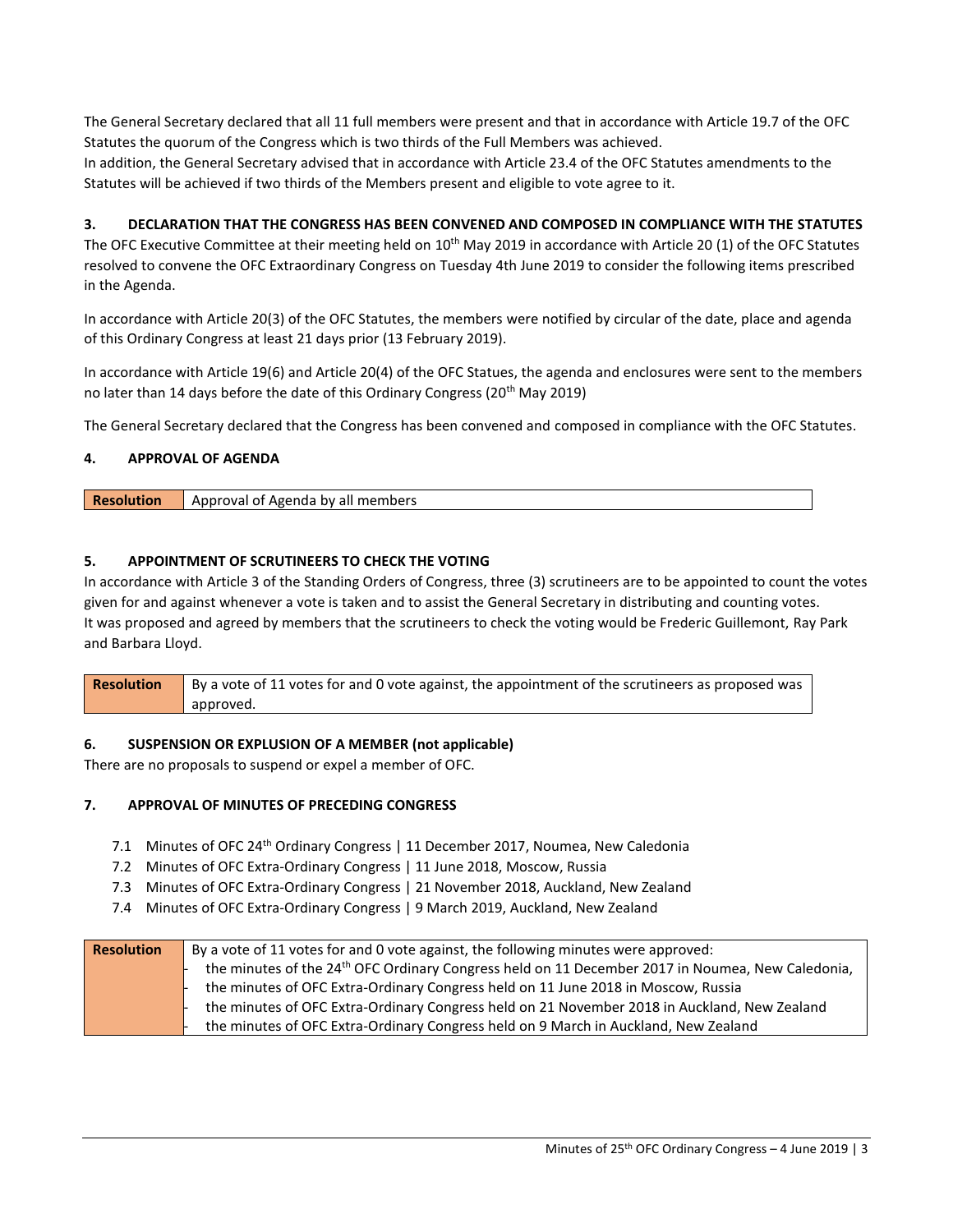The General Secretary declared that all 11 full members were present and that in accordance with Article 19.7 of the OFC Statutes the quorum of the Congress which is two thirds of the Full Members was achieved.

In addition, the General Secretary advised that in accordance with Article 23.4 of the OFC Statutes amendments to the Statutes will be achieved if two thirds of the Members present and eligible to vote agree to it.

## **3. DECLARATION THAT THE CONGRESS HAS BEEN CONVENED AND COMPOSED IN COMPLIANCE WITH THE STATUTES**

The OFC Executive Committee at their meeting held on  $10^{th}$  May 2019 in accordance with Article 20 (1) of the OFC Statutes resolved to convene the OFC Extraordinary Congress on Tuesday 4th June 2019 to consider the following items prescribed in the Agenda.

In accordance with Article 20(3) of the OFC Statutes, the members were notified by circular of the date, place and agenda of this Ordinary Congress at least 21 days prior (13 February 2019).

In accordance with Article 19(6) and Article 20(4) of the OFC Statues, the agenda and enclosures were sent to the members no later than 14 days before the date of this Ordinary Congress (20<sup>th</sup> May 2019)

The General Secretary declared that the Congress has been convened and composed in compliance with the OFC Statutes.

## **4. APPROVAL OF AGENDA**

| <b>Resolution</b><br>Approval of Agenda by all members |  |
|--------------------------------------------------------|--|
|--------------------------------------------------------|--|

## **5. APPOINTMENT OF SCRUTINEERS TO CHECK THE VOTING**

In accordance with Article 3 of the Standing Orders of Congress, three (3) scrutineers are to be appointed to count the votes given for and against whenever a vote is taken and to assist the General Secretary in distributing and counting votes. It was proposed and agreed by members that the scrutineers to check the voting would be Frederic Guillemont, Ray Park and Barbara Lloyd.

**Resolution** By a vote of 11 votes for and 0 vote against, the appointment of the scrutineers as proposed was approved.

#### **6. SUSPENSION OR EXPLUSION OF A MEMBER (not applicable)**

There are no proposals to suspend or expel a member of OFC.

#### **7. APPROVAL OF MINUTES OF PRECEDING CONGRESS**

- 7.1 Minutes of OFC 24th Ordinary Congress | 11 December 2017, Noumea, New Caledonia
- 7.2 Minutes of OFC Extra-Ordinary Congress | 11 June 2018, Moscow, Russia
- 7.3 Minutes of OFC Extra-Ordinary Congress | 21 November 2018, Auckland, New Zealand
- 7.4 Minutes of OFC Extra-Ordinary Congress | 9 March 2019, Auckland, New Zealand

| <b>Resolution</b> | By a vote of 11 votes for and 0 vote against, the following minutes were approved:                           |
|-------------------|--------------------------------------------------------------------------------------------------------------|
|                   | the minutes of the 24 <sup>th</sup> OFC Ordinary Congress held on 11 December 2017 in Noumea, New Caledonia, |
|                   | the minutes of OFC Extra-Ordinary Congress held on 11 June 2018 in Moscow, Russia                            |
|                   | the minutes of OFC Extra-Ordinary Congress held on 21 November 2018 in Auckland, New Zealand                 |
|                   | the minutes of OFC Extra-Ordinary Congress held on 9 March in Auckland, New Zealand                          |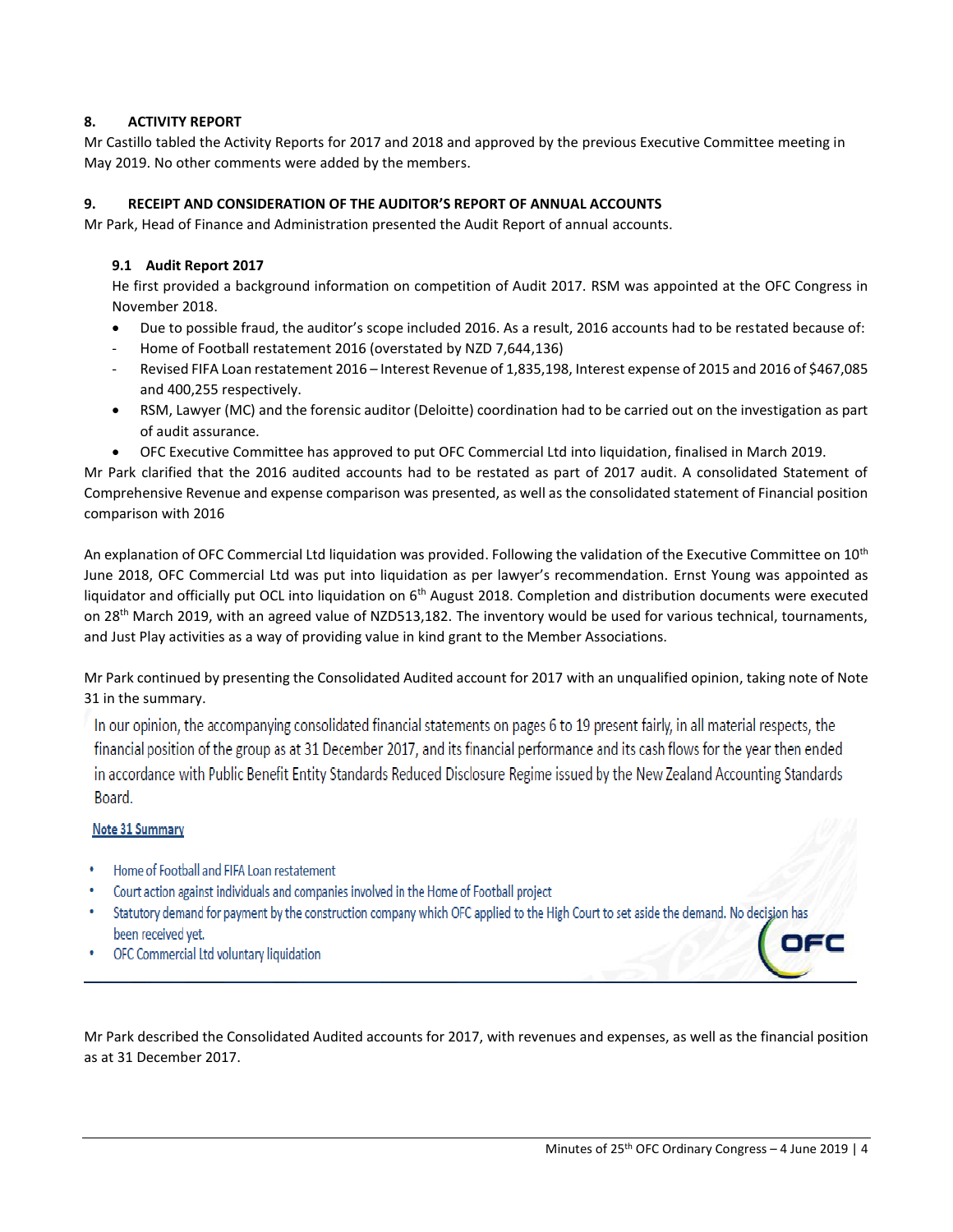## **8. ACTIVITY REPORT**

Mr Castillo tabled the Activity Reports for 2017 and 2018 and approved by the previous Executive Committee meeting in May 2019. No other comments were added by the members.

## **9. RECEIPT AND CONSIDERATION OF THE AUDITOR'S REPORT OF ANNUAL ACCOUNTS**

Mr Park, Head of Finance and Administration presented the Audit Report of annual accounts.

## **9.1 Audit Report 2017**

He first provided a background information on competition of Audit 2017. RSM was appointed at the OFC Congress in November 2018.

- Due to possible fraud, the auditor's scope included 2016. As a result, 2016 accounts had to be restated because of:
- Home of Football restatement 2016 (overstated by NZD 7,644,136)
- Revised FIFA Loan restatement 2016 Interest Revenue of 1,835,198, Interest expense of 2015 and 2016 of \$467,085 and 400,255 respectively.
- RSM, Lawyer (MC) and the forensic auditor (Deloitte) coordination had to be carried out on the investigation as part of audit assurance.
- OFC Executive Committee has approved to put OFC Commercial Ltd into liquidation, finalised in March 2019.

Mr Park clarified that the 2016 audited accounts had to be restated as part of 2017 audit. A consolidated Statement of Comprehensive Revenue and expense comparison was presented, as well as the consolidated statement of Financial position comparison with 2016

An explanation of OFC Commercial Ltd liquidation was provided. Following the validation of the Executive Committee on 10<sup>th</sup> June 2018, OFC Commercial Ltd was put into liquidation as per lawyer's recommendation. Ernst Young was appointed as liquidator and officially put OCL into liquidation on  $6<sup>th</sup>$  August 2018. Completion and distribution documents were executed on 28<sup>th</sup> March 2019, with an agreed value of NZD513,182. The inventory would be used for various technical, tournaments, and Just Play activities as a way of providing value in kind grant to the Member Associations.

Mr Park continued by presenting the Consolidated Audited account for 2017 with an unqualified opinion, taking note of Note 31 in the summary.

In our opinion, the accompanying consolidated financial statements on pages 6 to 19 present fairly, in all material respects, the financial position of the group as at 31 December 2017, and its financial performance and its cash flows for the year then ended in accordance with Public Benefit Entity Standards Reduced Disclosure Regime issued by the New Zealand Accounting Standards Board.

## Note 31 Summary

- Home of Football and FIFA Loan restatement
- Court action against individuals and companies involved in the Home of Football project
- Statutory demand for payment by the construction company which OFC applied to the High Court to set aside the demand. No decision has been received yet.
- OFC Commercial Ltd voluntary liquidation

Mr Park described the Consolidated Audited accounts for 2017, with revenues and expenses, as well as the financial position as at 31 December 2017.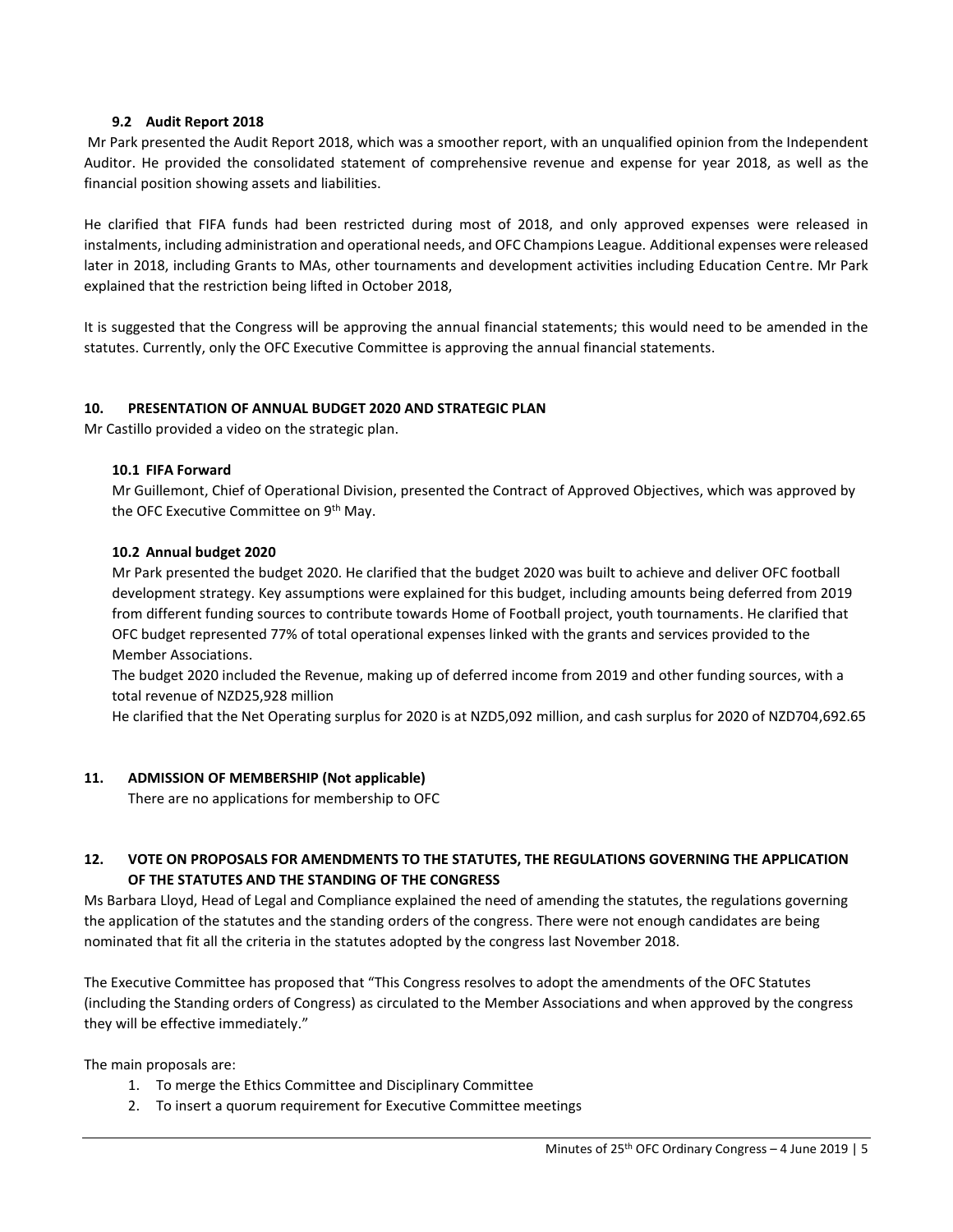#### **9.2 Audit Report 2018**

Mr Park presented the Audit Report 2018, which was a smoother report, with an unqualified opinion from the Independent Auditor. He provided the consolidated statement of comprehensive revenue and expense for year 2018, as well as the financial position showing assets and liabilities.

He clarified that FIFA funds had been restricted during most of 2018, and only approved expenses were released in instalments, including administration and operational needs, and OFC Champions League. Additional expenses were released later in 2018, including Grants to MAs, other tournaments and development activities including Education Centre. Mr Park explained that the restriction being lifted in October 2018,

It is suggested that the Congress will be approving the annual financial statements; this would need to be amended in the statutes. Currently, only the OFC Executive Committee is approving the annual financial statements.

#### **10. PRESENTATION OF ANNUAL BUDGET 2020 AND STRATEGIC PLAN**

Mr Castillo provided a video on the strategic plan.

#### **10.1 FIFA Forward**

Mr Guillemont, Chief of Operational Division, presented the Contract of Approved Objectives, which was approved by the OFC Executive Committee on 9<sup>th</sup> May.

#### **10.2 Annual budget 2020**

Mr Park presented the budget 2020. He clarified that the budget 2020 was built to achieve and deliver OFC football development strategy. Key assumptions were explained for this budget, including amounts being deferred from 2019 from different funding sources to contribute towards Home of Football project, youth tournaments. He clarified that OFC budget represented 77% of total operational expenses linked with the grants and services provided to the Member Associations.

The budget 2020 included the Revenue, making up of deferred income from 2019 and other funding sources, with a total revenue of NZD25,928 million

He clarified that the Net Operating surplus for 2020 is at NZD5,092 million, and cash surplus for 2020 of NZD704,692.65

#### **11. ADMISSION OF MEMBERSHIP (Not applicable)**

There are no applications for membership to OFC

## **12. VOTE ON PROPOSALS FOR AMENDMENTS TO THE STATUTES, THE REGULATIONS GOVERNING THE APPLICATION OF THE STATUTES AND THE STANDING OF THE CONGRESS**

Ms Barbara Lloyd, Head of Legal and Compliance explained the need of amending the statutes, the regulations governing the application of the statutes and the standing orders of the congress. There were not enough candidates are being nominated that fit all the criteria in the statutes adopted by the congress last November 2018.

The Executive Committee has proposed that "This Congress resolves to adopt the amendments of the OFC Statutes (including the Standing orders of Congress) as circulated to the Member Associations and when approved by the congress they will be effective immediately."

The main proposals are:

- 1. To merge the Ethics Committee and Disciplinary Committee
- 2. To insert a quorum requirement for Executive Committee meetings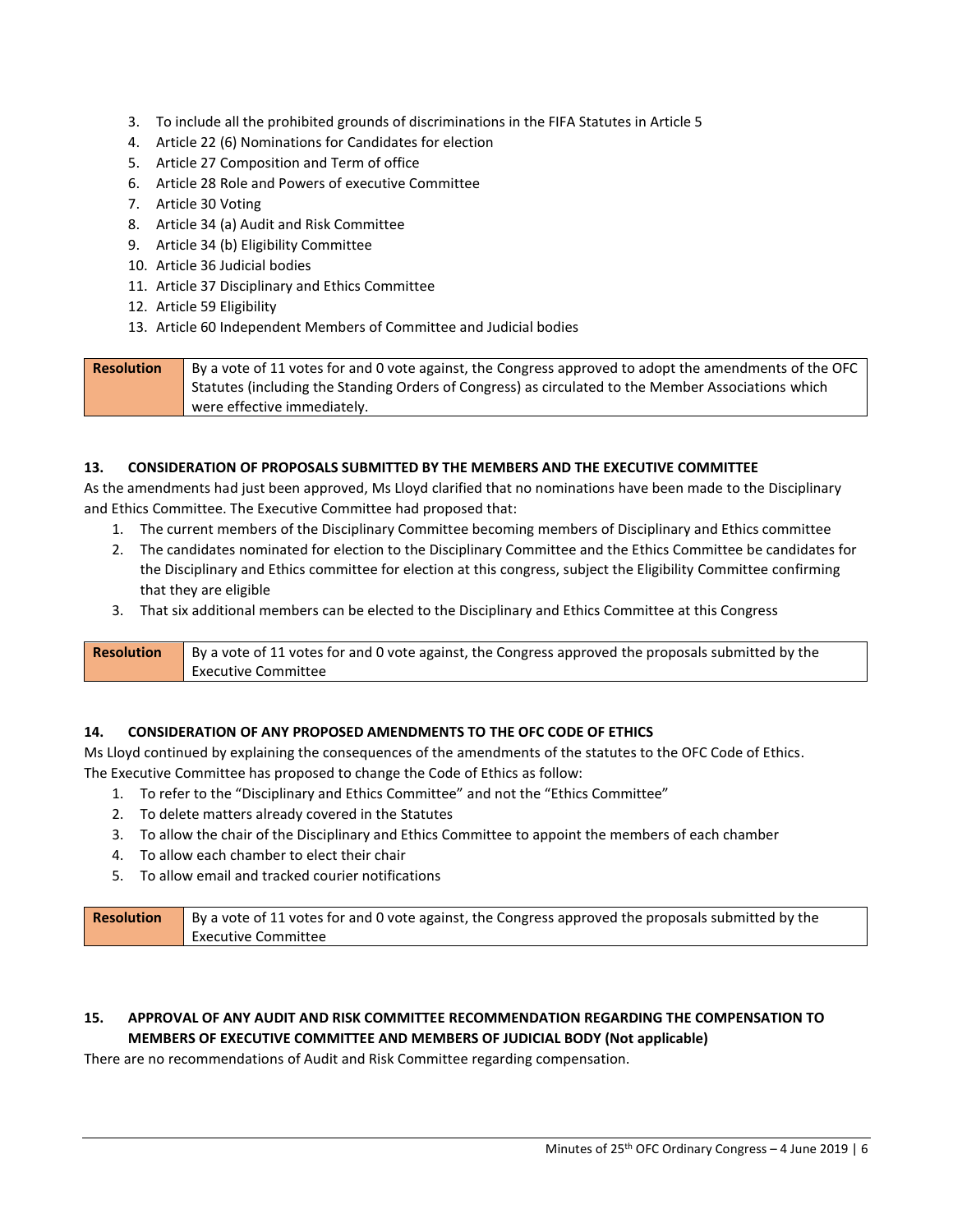- 3. To include all the prohibited grounds of discriminations in the FIFA Statutes in Article 5
- 4. Article 22 (6) Nominations for Candidates for election
- 5. Article 27 Composition and Term of office
- 6. Article 28 Role and Powers of executive Committee
- 7. Article 30 Voting
- 8. Article 34 (a) Audit and Risk Committee
- 9. Article 34 (b) Eligibility Committee
- 10. Article 36 Judicial bodies
- 11. Article 37 Disciplinary and Ethics Committee
- 12. Article 59 Eligibility
- 13. Article 60 Independent Members of Committee and Judicial bodies

| <b>Resolution</b> | By a vote of 11 votes for and 0 vote against, the Congress approved to adopt the amendments of the OFC |
|-------------------|--------------------------------------------------------------------------------------------------------|
|                   | Statutes (including the Standing Orders of Congress) as circulated to the Member Associations which    |
|                   | were effective immediately.                                                                            |

## **13. CONSIDERATION OF PROPOSALS SUBMITTED BY THE MEMBERS AND THE EXECUTIVE COMMITTEE**

As the amendments had just been approved, Ms Lloyd clarified that no nominations have been made to the Disciplinary and Ethics Committee. The Executive Committee had proposed that:

- 1. The current members of the Disciplinary Committee becoming members of Disciplinary and Ethics committee
- 2. The candidates nominated for election to the Disciplinary Committee and the Ethics Committee be candidates for the Disciplinary and Ethics committee for election at this congress, subject the Eligibility Committee confirming that they are eligible
- 3. That six additional members can be elected to the Disciplinary and Ethics Committee at this Congress

| <b>Resolution</b> | By a vote of 11 votes for and 0 vote against, the Congress approved the proposals submitted by the |  |  |
|-------------------|----------------------------------------------------------------------------------------------------|--|--|
|                   | Executive Committee                                                                                |  |  |

## **14. CONSIDERATION OF ANY PROPOSED AMENDMENTS TO THE OFC CODE OF ETHICS**

Ms Lloyd continued by explaining the consequences of the amendments of the statutes to the OFC Code of Ethics. The Executive Committee has proposed to change the Code of Ethics as follow:

- 1. To refer to the "Disciplinary and Ethics Committee" and not the "Ethics Committee"
- 2. To delete matters already covered in the Statutes
- 3. To allow the chair of the Disciplinary and Ethics Committee to appoint the members of each chamber
- 4. To allow each chamber to elect their chair
- 5. To allow email and tracked courier notifications

| <b>Resolution</b> | By a vote of 11 votes for and 0 vote against, the Congress approved the proposals submitted by the |
|-------------------|----------------------------------------------------------------------------------------------------|
|                   | Executive Committee                                                                                |

## **15. APPROVAL OF ANY AUDIT AND RISK COMMITTEE RECOMMENDATION REGARDING THE COMPENSATION TO MEMBERS OF EXECUTIVE COMMITTEE AND MEMBERS OF JUDICIAL BODY (Not applicable)**

There are no recommendations of Audit and Risk Committee regarding compensation.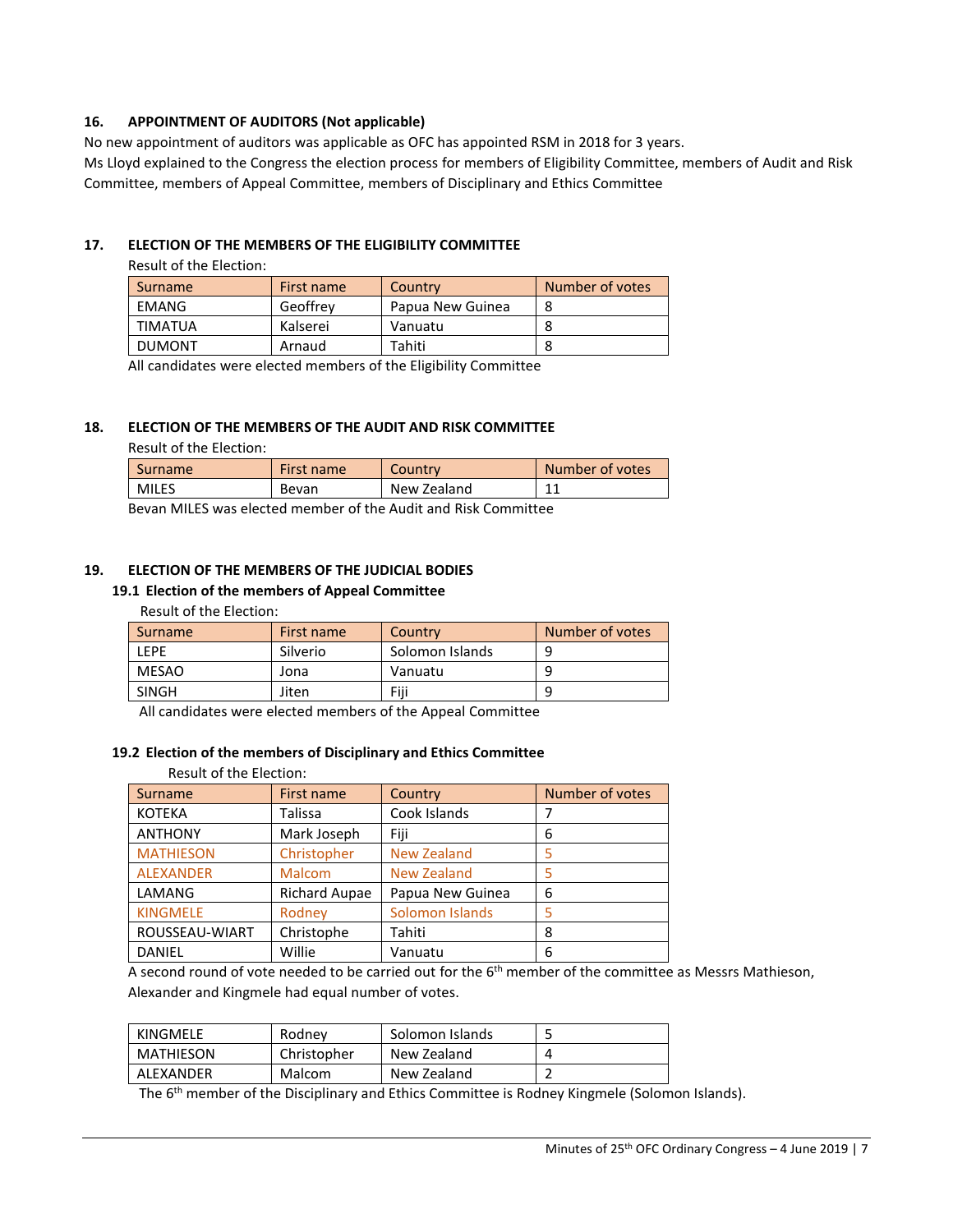## **16. APPOINTMENT OF AUDITORS (Not applicable)**

No new appointment of auditors was applicable as OFC has appointed RSM in 2018 for 3 years.

Ms Lloyd explained to the Congress the election process for members of Eligibility Committee, members of Audit and Risk Committee, members of Appeal Committee, members of Disciplinary and Ethics Committee

#### **17. ELECTION OF THE MEMBERS OF THE ELIGIBILITY COMMITTEE**

#### Result of the Election:

| Surname        | First name | Country          | Number of votes |
|----------------|------------|------------------|-----------------|
| EMANG          | Geoffrey   | Papua New Guinea |                 |
| <b>TIMATUA</b> | Kalserei   | Vanuatu          | Õ               |
| <b>DUMONT</b>  | Arnaud     | Tahiti           |                 |

All candidates were elected members of the Eligibility Committee

#### **18. ELECTION OF THE MEMBERS OF THE AUDIT AND RISK COMMITTEE**

#### Result of the Election:

| Surname                                                        | First name | Country | Number of votes |  |
|----------------------------------------------------------------|------------|---------|-----------------|--|
| <b>MILES</b><br>New Zealand<br>11<br>Bevan                     |            |         |                 |  |
| Royan MILES was olected member of the Audit and Birk Committee |            |         |                 |  |

Bevan MILES was elected member of the Audit and Risk Committee

## **19. ELECTION OF THE MEMBERS OF THE JUDICIAL BODIES**

## **19.1 Election of the members of Appeal Committee**

#### Result of the Election:

| Surname | First name | Country         | Number of votes |
|---------|------------|-----------------|-----------------|
| LEPE    | Silverio   | Solomon Islands | q               |
| MESAO   | Jona       | Vanuatu         | q               |
| SINGH   | Jiten      | Fiii            | q               |

All candidates were elected members of the Appeal Committee

#### **19.2 Election of the members of Disciplinary and Ethics Committee**

#### Result of the Election:

| Surname          | First name           | Country            | Number of votes |
|------------------|----------------------|--------------------|-----------------|
| <b>KOTEKA</b>    | Talissa              | Cook Islands       |                 |
| <b>ANTHONY</b>   | Mark Joseph          | Fiji               | 6               |
| <b>MATHIESON</b> | Christopher          | <b>New Zealand</b> |                 |
| <b>ALEXANDER</b> | Malcom               | <b>New Zealand</b> |                 |
| LAMANG           | <b>Richard Aupae</b> | Papua New Guinea   | 6               |
| <b>KINGMELE</b>  | Rodney               | Solomon Islands    | 5               |
| ROUSSEAU-WIART   | Christophe           | Tahiti             | 8               |
| <b>DANIEL</b>    | Willie               | Vanuatu            | 6               |

A second round of vote needed to be carried out for the 6<sup>th</sup> member of the committee as Messrs Mathieson, Alexander and Kingmele had equal number of votes.

| KINGMELE  | Rodnev      | Solomon Islands |  |
|-----------|-------------|-----------------|--|
| MATHIESON | Christopher | New Zealand     |  |
| ALEXANDER | Malcom      | New Zealand     |  |

The 6<sup>th</sup> member of the Disciplinary and Ethics Committee is Rodney Kingmele (Solomon Islands).